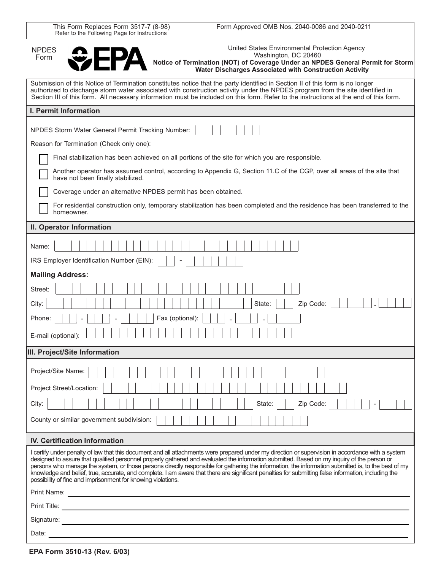| This Form Replaces Form 3517-7 (8-98)<br>Form Approved OMB Nos. 2040-0086 and 2040-0211<br>Refer to the Following Page for Instructions                                                                                                                                                                                                                                                                                                                                                                                   |
|---------------------------------------------------------------------------------------------------------------------------------------------------------------------------------------------------------------------------------------------------------------------------------------------------------------------------------------------------------------------------------------------------------------------------------------------------------------------------------------------------------------------------|
| United States Environmental Protection Agency<br><b>NPDES</b><br>Washington, DC 20460<br>Form<br>Notice of Termination (NOT) of Coverage Under an NPDES General Permit for Storm<br>Water Discharges Associated with Construction Activity                                                                                                                                                                                                                                                                                |
| Submission of this Notice of Termination constitutes notice that the party identified in Section II of this form is no longer<br>authorized to discharge storm water associated with construction activity under the NPDES program from the site identified in<br>Section III of this form. All necessary information must be included on this form. Refer to the instructions at the end of this form.                                                                                                                   |
| I. Permit Information                                                                                                                                                                                                                                                                                                                                                                                                                                                                                                     |
| NPDES Storm Water General Permit Tracking Number:                                                                                                                                                                                                                                                                                                                                                                                                                                                                         |
| Reason for Termination (Check only one):                                                                                                                                                                                                                                                                                                                                                                                                                                                                                  |
| Final stabilization has been achieved on all portions of the site for which you are responsible.                                                                                                                                                                                                                                                                                                                                                                                                                          |
| Another operator has assumed control, according to Appendix G, Section 11.C of the CGP, over all areas of the site that<br>have not been finally stabilized.                                                                                                                                                                                                                                                                                                                                                              |
| Coverage under an alternative NPDES permit has been obtained.                                                                                                                                                                                                                                                                                                                                                                                                                                                             |
| For residential construction only, temporary stabilization has been completed and the residence has been transferred to the<br>homeowner.                                                                                                                                                                                                                                                                                                                                                                                 |
| II. Operator Information                                                                                                                                                                                                                                                                                                                                                                                                                                                                                                  |
| Name:                                                                                                                                                                                                                                                                                                                                                                                                                                                                                                                     |
| IRS Employer Identification Number (EIN):                                                                                                                                                                                                                                                                                                                                                                                                                                                                                 |
| <b>Mailing Address:</b>                                                                                                                                                                                                                                                                                                                                                                                                                                                                                                   |
| Street:                                                                                                                                                                                                                                                                                                                                                                                                                                                                                                                   |
| Zip Code:<br>City:<br>State:                                                                                                                                                                                                                                                                                                                                                                                                                                                                                              |
| Fax (optional):<br>Phone:                                                                                                                                                                                                                                                                                                                                                                                                                                                                                                 |
| E-mail (optional):                                                                                                                                                                                                                                                                                                                                                                                                                                                                                                        |
| III. Project/Site Information                                                                                                                                                                                                                                                                                                                                                                                                                                                                                             |
| Project/Site Name:                                                                                                                                                                                                                                                                                                                                                                                                                                                                                                        |
| Project Street/Location:                                                                                                                                                                                                                                                                                                                                                                                                                                                                                                  |
| Zip Code:<br>City:<br>State:                                                                                                                                                                                                                                                                                                                                                                                                                                                                                              |
| County or similar government subdivision:                                                                                                                                                                                                                                                                                                                                                                                                                                                                                 |
|                                                                                                                                                                                                                                                                                                                                                                                                                                                                                                                           |
| <b>IV. Certification Information</b><br>I certify under penalty of law that this document and all attachments were prepared under my direction or supervision in accordance with a system                                                                                                                                                                                                                                                                                                                                 |
| designed to assure that qualified personnel properly gathered and evaluated the information submitted. Based on my inquiry of the person or<br>persons who manage the system, or those persons directly responsible for gathering the information, the information submitted is, to the best of my<br>knowledge and belief, true, accurate, and complete. I am aware that there are significant penalties for submitting false information, including the<br>possibility of fine and imprisonment for knowing violations. |
|                                                                                                                                                                                                                                                                                                                                                                                                                                                                                                                           |
| Print Title:<br><u> 1989 - Andrea Andrew Maria (h. 1989).</u>                                                                                                                                                                                                                                                                                                                                                                                                                                                             |
| Signature:                                                                                                                                                                                                                                                                                                                                                                                                                                                                                                                |
| Date:                                                                                                                                                                                                                                                                                                                                                                                                                                                                                                                     |